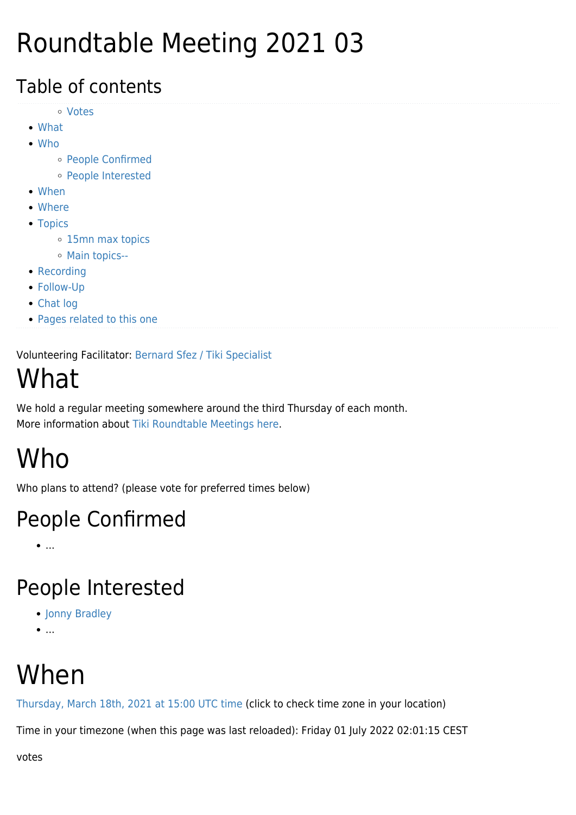## Roundtable Meeting 2021 03

#### Table of contents

- [Votes](#page--1-0)
- [What](#page--1-0)
- [Who](#page--1-0)
	- [People Confirmed](#page--1-0)
	- [People Interested](#page--1-0)
- [When](#page--1-0)
- [Where](#page--1-0)
- [Topics](#page--1-0)
	- [15mn max topics](#page--1-0)
	- [Main topics--](#page--1-0)
- [Recording](#page--1-0)
- [Follow-Up](#page--1-0)
- [Chat log](#page--1-0)
- [Pages related to this one](#page--1-0)

Volunteering Facilitator: [Bernard Sfez / Tiki Specialist](https://tiki.org/user1974)

## What

We hold a regular meeting somewhere around the third Thursday of each month. More information about [Tiki Roundtable Meetings](https://tiki.org/Roundtable-Meetings) [here](https://tiki.org/Roundtable-Meetings).

## Who

Who plans to attend? (please vote for preferred times below)

#### People Confirmed

 $\bullet$ ....

#### People Interested

- [Jonny Bradley](https://tiki.org/user8515)
- $\bullet$ ...

## When

[Thursday, March 18th, 2021 at 15:00 UTC time](https://www.timeanddate.com/worldclock/fixedtime.html?year=2021&month=03&day=18&hour=15) (click to check time zone in your location)

Time in your timezone (when this page was last reloaded): Friday 01 July 2022 02:01:15 CEST

votes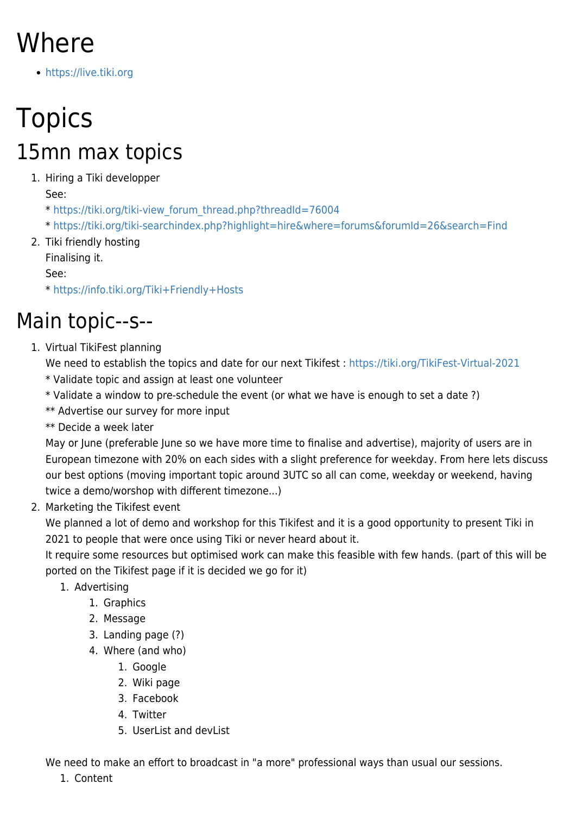## Where

<https://live.tiki.org>

## **Topics** 15mn max topics

#### 1. Hiring a Tiki developper

See:

\* [https://tiki.org/tiki-view\\_forum\\_thread.php?threadId=76004](https://tiki.org/tiki-view_forum_thread.php?threadId=76004)

\*<https://tiki.org/tiki-searchindex.php?highlight=hire&where=forums&forumId=26&search=Find>

2. Tiki friendly hosting Finalising it.

See:

\*<https://info.tiki.org/Tiki+Friendly+Hosts>

#### Main topic--s--

1. Virtual TikiFest planning

We need to establish the topics and date for our next Tikifest :<https://tiki.org/TikiFest-Virtual-2021>

- \* Validate topic and assign at least one volunteer
- \* Validate a window to pre-schedule the event (or what we have is enough to set a date ?)

\*\* Advertise our survey for more input

\*\* Decide a week later

May or June (preferable June so we have more time to finalise and advertise), majority of users are in European timezone with 20% on each sides with a slight preference for weekday. From here lets discuss our best options (moving important topic around 3UTC so all can come, weekday or weekend, having twice a demo/worshop with different timezone...)

2. Marketing the Tikifest event

We planned a lot of demo and workshop for this Tikifest and it is a good opportunity to present Tiki in 2021 to people that were once using Tiki or never heard about it.

It require some resources but optimised work can make this feasible with few hands. (part of this will be ported on the Tikifest page if it is decided we go for it)

- 1. Advertising
	- 1. Graphics
	- 2. Message
	- 3. Landing page (?)
	- 4. Where (and who)
		- 1. Google
		- 2. Wiki page
		- 3. Facebook
		- 4. Twitter
		- 5. UserList and devList

We need to make an effort to broadcast in "a more" professional ways than usual our sessions.

1. Content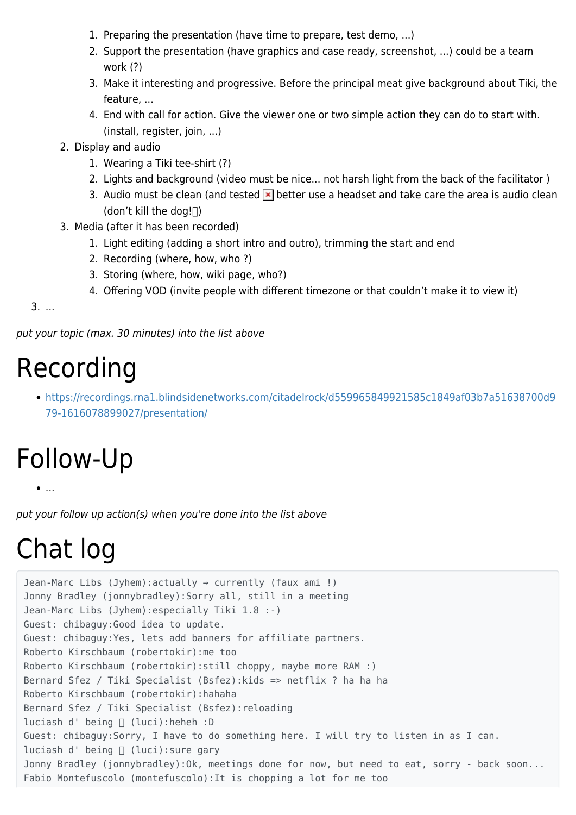- 1. Preparing the presentation (have time to prepare, test demo, ...)
- 2. Support the presentation (have graphics and case ready, screenshot, ...) could be a team work (?)
- 3. Make it interesting and progressive. Before the principal meat give background about Tiki, the feature, ...
- 4. End with call for action. Give the viewer one or two simple action they can do to start with. (install, register, join, ...)
- 2. Display and audio
	- 1. Wearing a Tiki tee-shirt (?)
	- 2. Lights and background (video must be nice... not harsh light from the back of the facilitator )
	- 3. Audio must be clean (and tested  $\mathbf{\times}$  better use a headset and take care the area is audio clean (don't kill the dog! $\Box$ )
- 3. Media (after it has been recorded)
	- 1. Light editing (adding a short intro and outro), trimming the start and end
	- 2. Recording (where, how, who ?)
	- 3. Storing (where, how, wiki page, who?)
	- 4. Offering VOD (invite people with different timezone or that couldn't make it to view it)

3. ...

put your topic (max. 30 minutes) into the list above

### Recording

[https://recordings.rna1.blindsidenetworks.com/citadelrock/d559965849921585c1849af03b7a51638700d9](https://recordings.rna1.blindsidenetworks.com/citadelrock/d559965849921585c1849af03b7a51638700d979-1616078899027/presentation/) [79-1616078899027/presentation/](https://recordings.rna1.blindsidenetworks.com/citadelrock/d559965849921585c1849af03b7a51638700d979-1616078899027/presentation/)

# Follow-Up

...

put your follow up action(s) when you're done into the list above

# Chat log

```
Jean-Marc Libs (Jyhem):actually → currently (faux ami !)
Jonny Bradley (jonnybradley):Sorry all, still in a meeting
Jean-Marc Libs (Jyhem):especially Tiki 1.8 :-)
Guest: chibaguy:Good idea to update.
Guest: chibaguy:Yes, lets add banners for affiliate partners.
Roberto Kirschbaum (robertokir):me too
Roberto Kirschbaum (robertokir):still choppy, maybe more RAM :)
Bernard Sfez / Tiki Specialist (Bsfez):kids => netflix ? ha ha ha
Roberto Kirschbaum (robertokir):hahaha
Bernard Sfez / Tiki Specialist (Bsfez):reloading
luciash d' being [ (luci): heheh : D
Guest: chibaguy:Sorry, I have to do something here. I will try to listen in as I can.
luciash d' being [ (luci): sure gary
Jonny Bradley (jonnybradley): Ok, meetings done for now, but need to eat, sorry - back soon...
Fabio Montefuscolo (montefuscolo):It is chopping a lot for me too
```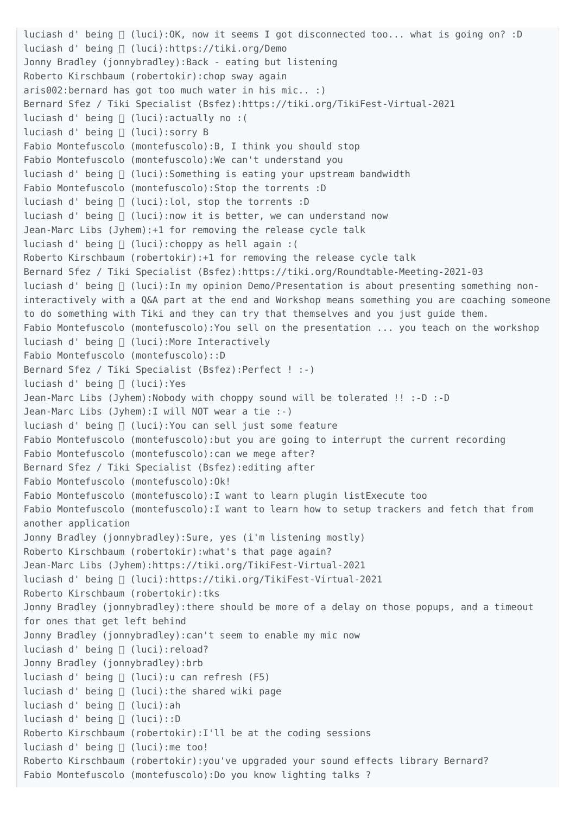luciash d' being  $\Box$  (luci): OK, now it seems I got disconnected too... what is going on? : D luciash d' being (luci):https://tiki.org/Demo Jonny Bradley (jonnybradley):Back - eating but listening Roberto Kirschbaum (robertokir):chop sway again aris002:bernard has got too much water in his mic.. :) Bernard Sfez / Tiki Specialist (Bsfez):https://tiki.org/TikiFest-Virtual-2021 luciash d' being  $\sqcap$  (luci): actually no : ( luciash d' being [ (luci): sorry B Fabio Montefuscolo (montefuscolo):B, I think you should stop Fabio Montefuscolo (montefuscolo):We can't understand you luciash d' being  $\sqcap$  (luci): Something is eating your upstream bandwidth Fabio Montefuscolo (montefuscolo):Stop the torrents :D luciash d' being  $[]$  (luci):lol, stop the torrents :D luciash d' being  $\Box$  (luci): now it is better, we can understand now Jean-Marc Libs (Jyhem):+1 for removing the release cycle talk luciash d' being  $\sqcap$  (luci): choppy as hell again : ( Roberto Kirschbaum (robertokir):+1 for removing the release cycle talk Bernard Sfez / Tiki Specialist (Bsfez):https://tiki.org/Roundtable-Meeting-2021-03 luciash d' being  $\Box$  (luci): In my opinion Demo/Presentation is about presenting something noninteractively with a Q&A part at the end and Workshop means something you are coaching someone to do something with Tiki and they can try that themselves and you just guide them. Fabio Montefuscolo (montefuscolo):You sell on the presentation ... you teach on the workshop luciash d' being ∏ (luci):More Interactively Fabio Montefuscolo (montefuscolo)::D Bernard Sfez / Tiki Specialist (Bsfez):Perfect ! :-) luciash d' being □ (luci):Yes Jean-Marc Libs (Jyhem):Nobody with choppy sound will be tolerated !! :-D :-D Jean-Marc Libs (Jyhem):I will NOT wear a tie :-) luciash d' being □ (luci):You can sell just some feature Fabio Montefuscolo (montefuscolo):but you are going to interrupt the current recording Fabio Montefuscolo (montefuscolo):can we mege after? Bernard Sfez / Tiki Specialist (Bsfez):editing after Fabio Montefuscolo (montefuscolo):Ok! Fabio Montefuscolo (montefuscolo):I want to learn plugin listExecute too Fabio Montefuscolo (montefuscolo):I want to learn how to setup trackers and fetch that from another application Jonny Bradley (jonnybradley): Sure, yes (i'm listening mostly) Roberto Kirschbaum (robertokir):what's that page again? Jean-Marc Libs (Jyhem):https://tiki.org/TikiFest-Virtual-2021 luciash d' being (luci):https://tiki.org/TikiFest-Virtual-2021 Roberto Kirschbaum (robertokir):tks Jonny Bradley (jonnybradley):there should be more of a delay on those popups, and a timeout for ones that get left behind Jonny Bradley (jonnybradley):can't seem to enable my mic now luciash d' being □ (luci): reload? Jonny Bradley (jonnybradley):brb luciash d' being  $\Box$  (luci):u can refresh (F5) luciash d' being □ (luci):the shared wiki page luciash d' being ∏ (luci):ah luciash d' being [ (luci)::D Roberto Kirschbaum (robertokir):I'll be at the coding sessions luciash d' being  $\sqcap$  (luci): me too! Roberto Kirschbaum (robertokir):you've upgraded your sound effects library Bernard? Fabio Montefuscolo (montefuscolo):Do you know lighting talks ?